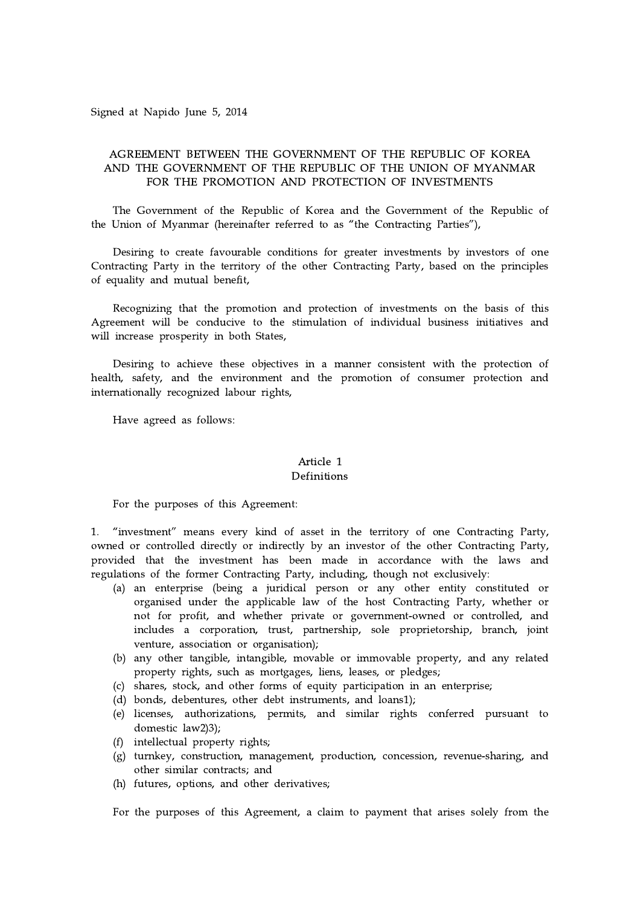Signed at Napido June 5, 2014

## AGREEMENT BETWEEN THE GOVERNMENT OF THE REPUBLIC OF KOREA AND THE GOVERNMENT OF THE REPUBLIC OF THE UNION OF MYANMAR FOR THE PROMOTION AND PROTECTION OF INVESTMENTS

The Government of the Republic of Korea and the Government of the Republic of the Union of Myanmar (hereinafter referred to as "the Contracting Parties"),

Desiring to create favourable conditions for greater investments by investors of one Contracting Party in the territory of the other Contracting Party, based on the principles of equality and mutual benefit,

Recognizing that the promotion and protection of investments on the basis of this Agreement will be conducive to the stimulation of individual business initiatives and will increase prosperity in both States,

Desiring to achieve these objectives in a manner consistent with the protection of health, safety, and the environment and the promotion of consumer protection and internationally recognized labour rights,

Have agreed as follows:

#### Article 1 Definitions

For the purposes of this Agreement:

1. "investment" means every kind of asset in the territory of one Contracting Party, owned or controlled directly or indirectly by an investor of the other Contracting Party, provided that the investment has been made in accordance with the laws and regulations of the former Contracting Party, including, though not exclusively:

- (a) an enterprise (being a juridical person or any other entity constituted or organised under the applicable law of the host Contracting Party, whether or not for profit, and whether private or government-owned or controlled, and includes a corporation, trust, partnership, sole proprietorship, branch, joint venture, association or organisation);
- (b) any other tangible, intangible, movable or immovable property, and any related property rights, such as mortgages, liens, leases, or pledges;
- (c) shares, stock, and other forms of equity participation in an enterprise;
- (d) bonds, debentures, other debt instruments, and loans1);
- (e) licenses, authorizations, permits, and similar rights conferred pursuant to domestic law2)3);
- (f) intellectual property rights;
- (g) turnkey, construction, management, production, concession, revenue-sharing, and other similar contracts; and
- (h) futures, options, and other derivatives;

For the purposes of this Agreement, a claim to payment that arises solely from the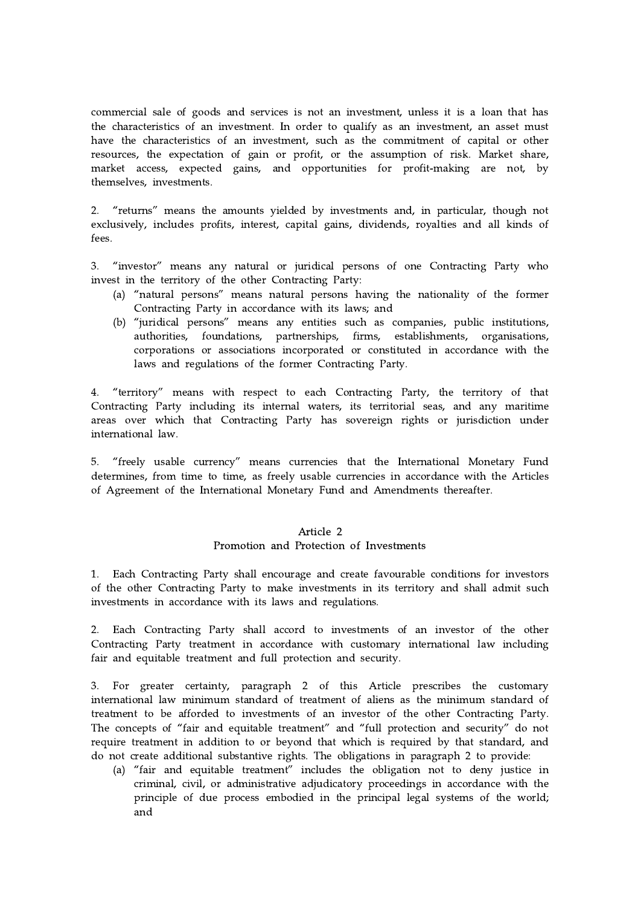commercial sale of goods and services is not an investment, unless it is a loan that has the characteristics of an investment. In order to qualify as an investment, an asset must have the characteristics of an investment, such as the commitment of capital or other resources, the expectation of gain or profit, or the assumption of risk. Market share, market access, expected gains, and opportunities for profit-making are not, by themselves, investments.

2. "returns" means the amounts yielded by investments and, in particular, though not exclusively, includes profits, interest, capital gains, dividends, royalties and all kinds of fees.

3. "investor" means any natural or juridical persons of one Contracting Party who invest in the territory of the other Contracting Party:

- (a) "natural persons" means natural persons having the nationality of the former Contracting Party in accordance with its laws; and
- (b) "juridical persons" means any entities such as companies, public institutions, authorities, foundations, partnerships, firms, establishments, organisations, corporations or associations incorporated or constituted in accordance with the laws and regulations of the former Contracting Party.

4. "territory" means with respect to each Contracting Party, the territory of that Contracting Party including its internal waters, its territorial seas, and any maritime areas over which that Contracting Party has sovereign rights or jurisdiction under international law.

5. "freely usable currency" means currencies that the International Monetary Fund determines, from time to time, as freely usable currencies in accordance with the Articles of Agreement of the International Monetary Fund and Amendments thereafter.

## Article 2 Promotion and Protection of Investments

1. Each Contracting Party shall encourage and create favourable conditions for investors of the other Contracting Party to make investments in its territory and shall admit such investments in accordance with its laws and regulations.

2. Each Contracting Party shall accord to investments of an investor of the other Contracting Party treatment in accordance with customary international law including fair and equitable treatment and full protection and security.

3. For greater certainty, paragraph 2 of this Article prescribes the customary international law minimum standard of treatment of aliens as the minimum standard of treatment to be afforded to investments of an investor of the other Contracting Party. The concepts of "fair and equitable treatment" and "full protection and security" do not require treatment in addition to or beyond that which is required by that standard, and do not create additional substantive rights. The obligations in paragraph 2 to provide:

(a) "fair and equitable treatment" includes the obligation not to deny justice in criminal, civil, or administrative adjudicatory proceedings in accordance with the principle of due process embodied in the principal legal systems of the world; and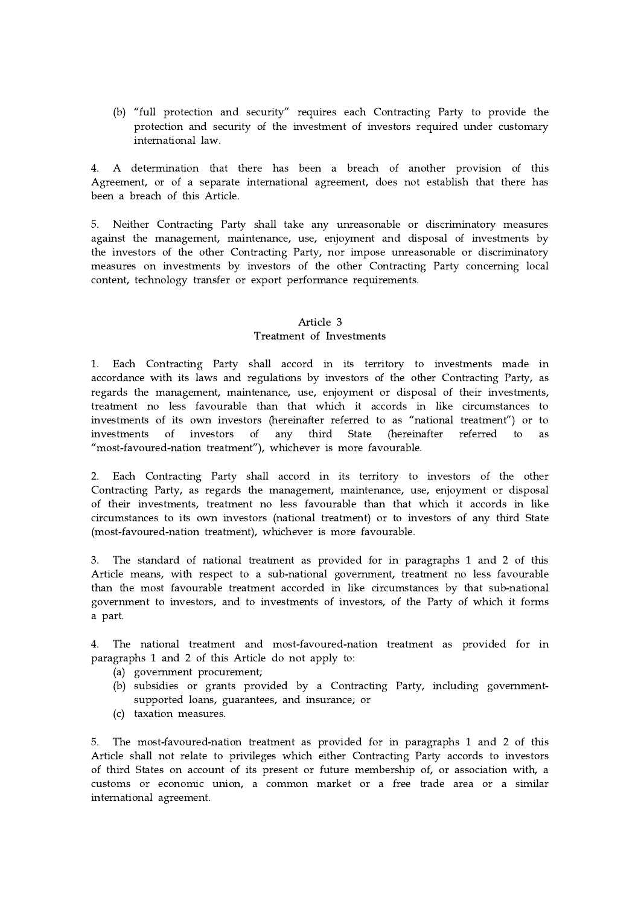(b) "full protection and security" requires each Contracting Party to provide the protection and security of the investment of investors required under customary international law.

4. A determination that there has been a breach of another provision of this Agreement, or of a separate international agreement, does not establish that there has been a breach of this Article.

5. Neither Contracting Party shall take any unreasonable or discriminatory measures against the management, maintenance, use, enjoyment and disposal of investments by the investors of the other Contracting Party, nor impose unreasonable or discriminatory measures on investments by investors of the other Contracting Party concerning local content, technology transfer or export performance requirements.

## Article 3 Treatment of Investments

1. Each Contracting Party shall accord in its territory to investments made in accordance with its laws and regulations by investors of the other Contracting Party, as regards the management, maintenance, use, enjoyment or disposal of their investments, treatment no less favourable than that which it accords in like circumstances to investments of its own investors (hereinafter referred to as "national treatment") or to investments of investors of any third State (hereinafter referred to as "most-favoured-nation treatment"), whichever is more favourable.

2. Each Contracting Party shall accord in its territory to investors of the other Contracting Party, as regards the management, maintenance, use, enjoyment or disposal of their investments, treatment no less favourable than that which it accords in like circumstances to its own investors (national treatment) or to investors of any third State (most-favoured-nation treatment), whichever is more favourable.

3. The standard of national treatment as provided for in paragraphs 1 and 2 of this Article means, with respect to a sub-national government, treatment no less favourable than the most favourable treatment accorded in like circumstances by that sub-national government to investors, and to investments of investors, of the Party of which it forms a part.

4. The national treatment and most-favoured-nation treatment as provided for in paragraphs 1 and 2 of this Article do not apply to:

- (a) government procurement;
- (b) subsidies or grants provided by a Contracting Party, including governmentsupported loans, guarantees, and insurance; or
- (c) taxation measures.

5. The most-favoured-nation treatment as provided for in paragraphs 1 and 2 of this Article shall not relate to privileges which either Contracting Party accords to investors of third States on account of its present or future membership of, or association with, a customs or economic union, a common market or a free trade area or a similar international agreement.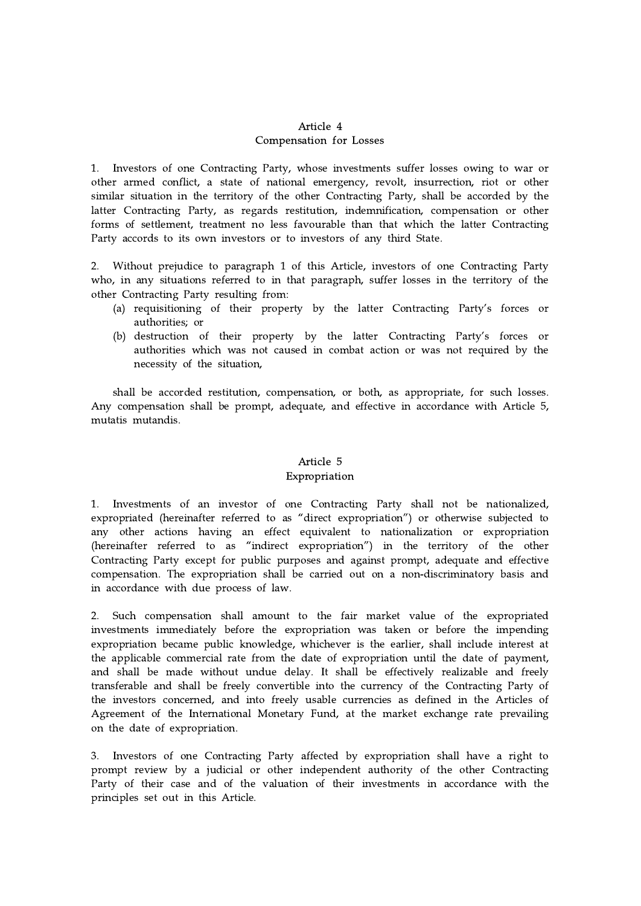## Article 4 Compensation for Losses

1. Investors of one Contracting Party, whose investments suffer losses owing to war or other armed conflict, a state of national emergency, revolt, insurrection, riot or other similar situation in the territory of the other Contracting Party, shall be accorded by the latter Contracting Party, as regards restitution, indemnification, compensation or other forms of settlement, treatment no less favourable than that which the latter Contracting Party accords to its own investors or to investors of any third State.

2. Without prejudice to paragraph 1 of this Article, investors of one Contracting Party who, in any situations referred to in that paragraph, suffer losses in the territory of the other Contracting Party resulting from:

- (a) requisitioning of their property by the latter Contracting Party's forces or authorities; or
- (b) destruction of their property by the latter Contracting Party's forces or authorities which was not caused in combat action or was not required by the necessity of the situation,

shall be accorded restitution, compensation, or both, as appropriate, for such losses. Any compensation shall be prompt, adequate, and effective in accordance with Article 5, mutatis mutandis.

# Article 5 Expropriation

1. Investments of an investor of one Contracting Party shall not be nationalized, expropriated (hereinafter referred to as "direct expropriation") or otherwise subjected to any other actions having an effect equivalent to nationalization or expropriation (hereinafter referred to as "indirect expropriation") in the territory of the other Contracting Party except for public purposes and against prompt, adequate and effective compensation. The expropriation shall be carried out on a non-discriminatory basis and in accordance with due process of law.

2. Such compensation shall amount to the fair market value of the expropriated investments immediately before the expropriation was taken or before the impending expropriation became public knowledge, whichever is the earlier, shall include interest at the applicable commercial rate from the date of expropriation until the date of payment, and shall be made without undue delay. It shall be effectively realizable and freely transferable and shall be freely convertible into the currency of the Contracting Party of the investors concerned, and into freely usable currencies as defined in the Articles of Agreement of the International Monetary Fund, at the market exchange rate prevailing on the date of expropriation.

3. Investors of one Contracting Party affected by expropriation shall have a right to prompt review by a judicial or other independent authority of the other Contracting Party of their case and of the valuation of their investments in accordance with the principles set out in this Article.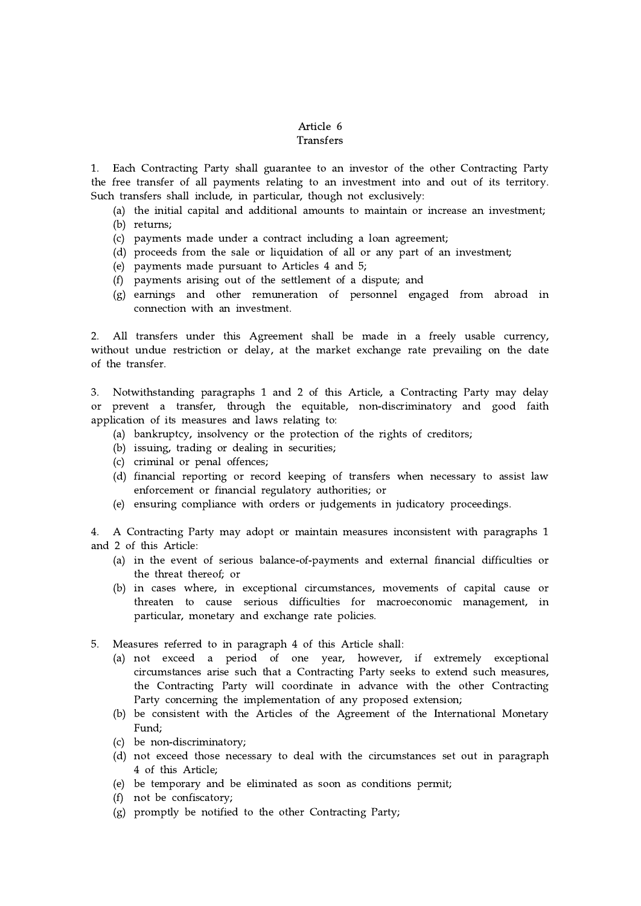# Article 6 Transfers

1. Each Contracting Party shall guarantee to an investor of the other Contracting Party the free transfer of all payments relating to an investment into and out of its territory. Such transfers shall include, in particular, though not exclusively:

(a) the initial capital and additional amounts to maintain or increase an investment; (b) returns;

- (c) payments made under a contract including a loan agreement;
- (d) proceeds from the sale or liquidation of all or any part of an investment;
- (e) payments made pursuant to Articles 4 and 5;
- (f) payments arising out of the settlement of a dispute; and
- (g) earnings and other remuneration of personnel engaged from abroad in connection with an investment.

2. All transfers under this Agreement shall be made in a freely usable currency, without undue restriction or delay, at the market exchange rate prevailing on the date of the transfer.

3. Notwithstanding paragraphs 1 and 2 of this Article, a Contracting Party may delay or prevent a transfer, through the equitable, non-discriminatory and good faith application of its measures and laws relating to:

- (a) bankruptcy, insolvency or the protection of the rights of creditors;
- (b) issuing, trading or dealing in securities;
- (c) criminal or penal offences;
- (d) financial reporting or record keeping of transfers when necessary to assist law enforcement or financial regulatory authorities; or
- (e) ensuring compliance with orders or judgements in judicatory proceedings.

4. A Contracting Party may adopt or maintain measures inconsistent with paragraphs 1 and 2 of this Article:

- (a) in the event of serious balance-of-payments and external financial difficulties or the threat thereof; or
- (b) in cases where, in exceptional circumstances, movements of capital cause or threaten to cause serious difficulties for macroeconomic management, in particular, monetary and exchange rate policies.
- 5. Measures referred to in paragraph 4 of this Article shall:
	- (a) not exceed a period of one year, however, if extremely exceptional circumstances arise such that a Contracting Party seeks to extend such measures, the Contracting Party will coordinate in advance with the other Contracting Party concerning the implementation of any proposed extension;
	- (b) be consistent with the Articles of the Agreement of the International Monetary Fund;
	- (c) be non-discriminatory;
	- (d) not exceed those necessary to deal with the circumstances set out in paragraph 4 of this Article;
	- (e) be temporary and be eliminated as soon as conditions permit;
	- (f) not be confiscatory;
	- (g) promptly be notified to the other Contracting Party;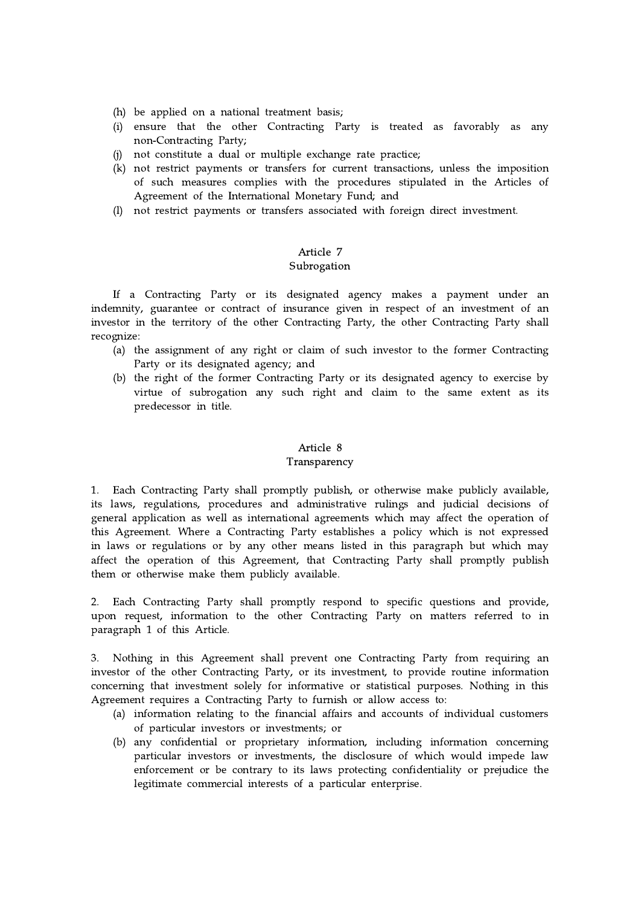- (h) be applied on a national treatment basis;
- (i) ensure that the other Contracting Party is treated as favorably as any non-Contracting Party;
- (j) not constitute a dual or multiple exchange rate practice;
- (k) not restrict payments or transfers for current transactions, unless the imposition of such measures complies with the procedures stipulated in the Articles of Agreement of the International Monetary Fund; and
- (l) not restrict payments or transfers associated with foreign direct investment.

# Article 7 Subrogation

If a Contracting Party or its designated agency makes a payment under an indemnity, guarantee or contract of insurance given in respect of an investment of an investor in the territory of the other Contracting Party, the other Contracting Party shall recognize:

- (a) the assignment of any right or claim of such investor to the former Contracting Party or its designated agency; and
- (b) the right of the former Contracting Party or its designated agency to exercise by virtue of subrogation any such right and claim to the same extent as its predecessor in title.

### Article 8 Transparency

1. Each Contracting Party shall promptly publish, or otherwise make publicly available, its laws, regulations, procedures and administrative rulings and judicial decisions of general application as well as international agreements which may affect the operation of this Agreement. Where a Contracting Party establishes a policy which is not expressed in laws or regulations or by any other means listed in this paragraph but which may affect the operation of this Agreement, that Contracting Party shall promptly publish them or otherwise make them publicly available.

2. Each Contracting Party shall promptly respond to specific questions and provide, upon request, information to the other Contracting Party on matters referred to in paragraph 1 of this Article.

3. Nothing in this Agreement shall prevent one Contracting Party from requiring an investor of the other Contracting Party, or its investment, to provide routine information concerning that investment solely for informative or statistical purposes. Nothing in this Agreement requires a Contracting Party to furnish or allow access to:

- (a) information relating to the financial affairs and accounts of individual customers of particular investors or investments; or
- (b) any confidential or proprietary information, including information concerning particular investors or investments, the disclosure of which would impede law enforcement or be contrary to its laws protecting confidentiality or prejudice the legitimate commercial interests of a particular enterprise.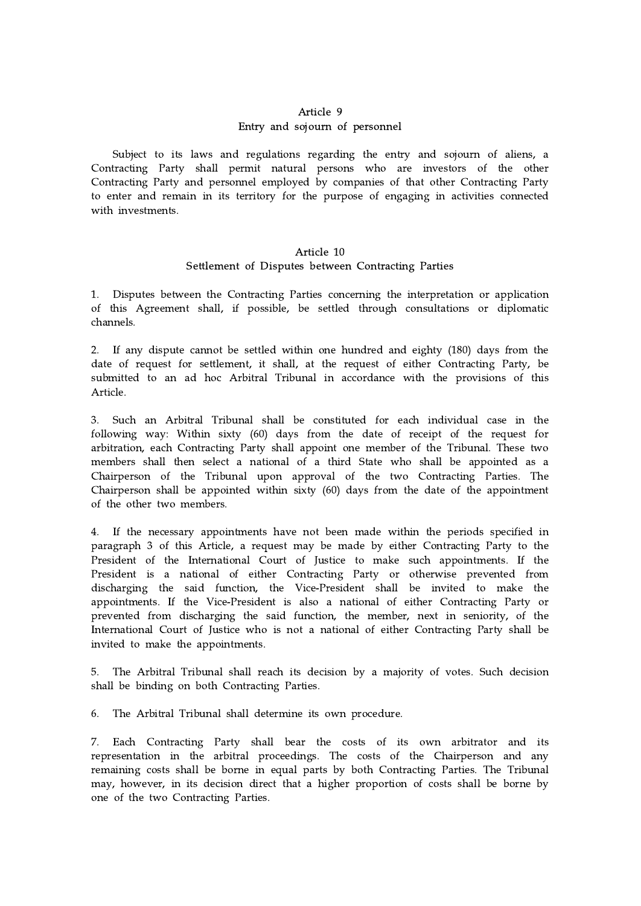# Article 9 Entry and sojourn of personnel

Subject to its laws and regulations regarding the entry and sojourn of aliens, a Contracting Party shall permit natural persons who are investors of the other Contracting Party and personnel employed by companies of that other Contracting Party to enter and remain in its territory for the purpose of engaging in activities connected with investments.

## Article 10 Settlement of Disputes between Contracting Parties

1. Disputes between the Contracting Parties concerning the interpretation or application of this Agreement shall, if possible, be settled through consultations or diplomatic channels.

2. If any dispute cannot be settled within one hundred and eighty (180) days from the date of request for settlement, it shall, at the request of either Contracting Party, be submitted to an ad hoc Arbitral Tribunal in accordance with the provisions of this Article.

3. Such an Arbitral Tribunal shall be constituted for each individual case in the following way: Within sixty (60) days from the date of receipt of the request for arbitration, each Contracting Party shall appoint one member of the Tribunal. These two members shall then select a national of a third State who shall be appointed as a Chairperson of the Tribunal upon approval of the two Contracting Parties. The Chairperson shall be appointed within sixty (60) days from the date of the appointment of the other two members.

4. If the necessary appointments have not been made within the periods specified in paragraph 3 of this Article, a request may be made by either Contracting Party to the President of the International Court of Justice to make such appointments. If the President is a national of either Contracting Party or otherwise prevented from discharging the said function, the Vice-President shall be invited to make the appointments. If the Vice-President is also a national of either Contracting Party or prevented from discharging the said function, the member, next in seniority, of the International Court of Justice who is not a national of either Contracting Party shall be invited to make the appointments.

5. The Arbitral Tribunal shall reach its decision by a majority of votes. Such decision shall be binding on both Contracting Parties.

6. The Arbitral Tribunal shall determine its own procedure.

7. Each Contracting Party shall bear the costs of its own arbitrator and its representation in the arbitral proceedings. The costs of the Chairperson and any remaining costs shall be borne in equal parts by both Contracting Parties. The Tribunal may, however, in its decision direct that a higher proportion of costs shall be borne by one of the two Contracting Parties.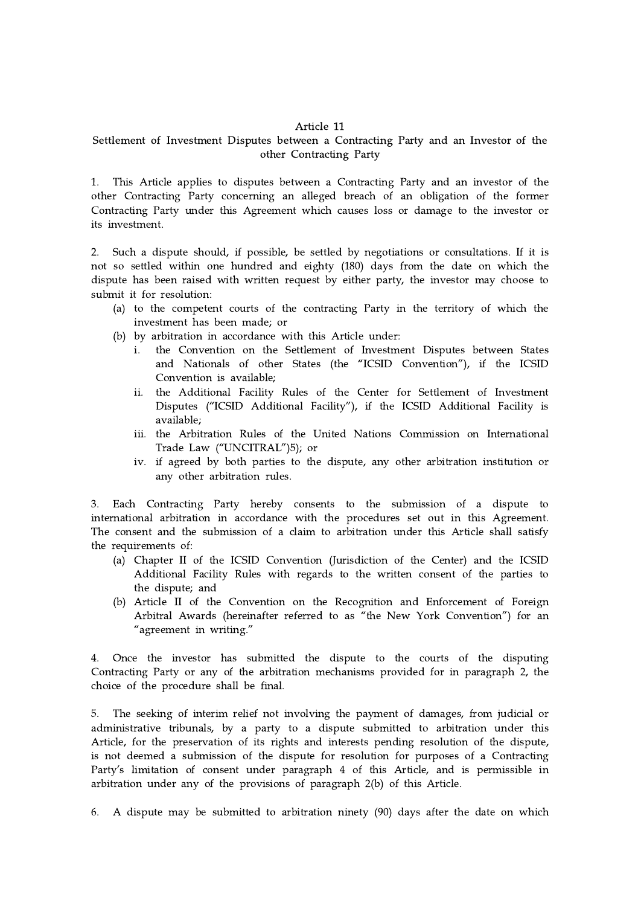#### Article 11

# Settlement of Investment Disputes between a Contracting Party and an Investor of the other Contracting Party

1. This Article applies to disputes between a Contracting Party and an investor of the other Contracting Party concerning an alleged breach of an obligation of the former Contracting Party under this Agreement which causes loss or damage to the investor or its investment.

2. Such a dispute should, if possible, be settled by negotiations or consultations. If it is not so settled within one hundred and eighty (180) days from the date on which the dispute has been raised with written request by either party, the investor may choose to submit it for resolution:

- (a) to the competent courts of the contracting Party in the territory of which the investment has been made; or
- (b) by arbitration in accordance with this Article under:
	- i. the Convention on the Settlement of Investment Disputes between States and Nationals of other States (the "ICSID Convention"), if the ICSID Convention is available;
	- ii. the Additional Facility Rules of the Center for Settlement of Investment Disputes ("ICSID Additional Facility"), if the ICSID Additional Facility is available;
	- iii. the Arbitration Rules of the United Nations Commission on International Trade Law ("UNCITRAL")5); or
	- iv. if agreed by both parties to the dispute, any other arbitration institution or any other arbitration rules.

3. Each Contracting Party hereby consents to the submission of a dispute to international arbitration in accordance with the procedures set out in this Agreement. The consent and the submission of a claim to arbitration under this Article shall satisfy the requirements of:

- (a) Chapter II of the ICSID Convention (Jurisdiction of the Center) and the ICSID Additional Facility Rules with regards to the written consent of the parties to the dispute; and
- (b) Article II of the Convention on the Recognition and Enforcement of Foreign Arbitral Awards (hereinafter referred to as "the New York Convention") for an "agreement in writing."

4. Once the investor has submitted the dispute to the courts of the disputing Contracting Party or any of the arbitration mechanisms provided for in paragraph 2, the choice of the procedure shall be final.

5. The seeking of interim relief not involving the payment of damages, from judicial or administrative tribunals, by a party to a dispute submitted to arbitration under this Article, for the preservation of its rights and interests pending resolution of the dispute, is not deemed a submission of the dispute for resolution for purposes of a Contracting Party's limitation of consent under paragraph 4 of this Article, and is permissible in arbitration under any of the provisions of paragraph 2(b) of this Article.

6. A dispute may be submitted to arbitration ninety (90) days after the date on which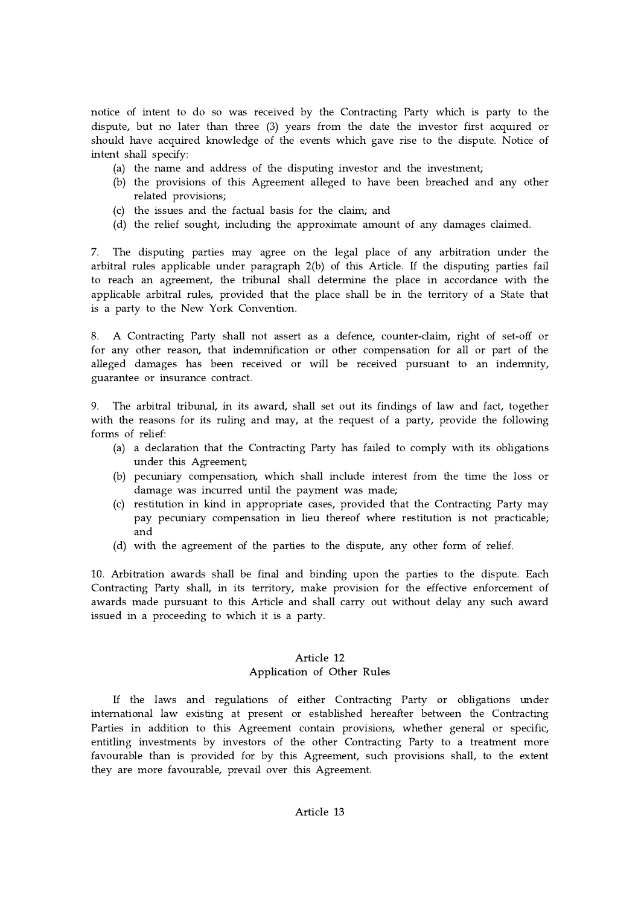notice of intent to do so was received by the Contracting Party which is party to the dispute, but no later than three (3) years from the date the investor first acquired or should have acquired knowledge of the events which gave rise to the dispute. Notice of intent shall specify:

- (a) the name and address of the disputing investor and the investment;
- (b) the provisions of this Agreement alleged to have been breached and any other related provisions;
- (c) the issues and the factual basis for the claim; and
- (d) the relief sought, including the approximate amount of any damages claimed.

7. The disputing parties may agree on the legal place of any arbitration under the arbitral rules applicable under paragraph 2(b) of this Article. If the disputing parties fail to reach an agreement, the tribunal shall determine the place in accordance with the applicable arbitral rules, provided that the place shall be in the territory of a State that is a party to the New York Convention.

8. A Contracting Party shall not assert as a defence, counter-claim, right of set-off or for any other reason, that indemnification or other compensation for all or part of the alleged damages has been received or will be received pursuant to an indemnity, guarantee or insurance contract.

9. The arbitral tribunal, in its award, shall set out its findings of law and fact, together with the reasons for its ruling and may, at the request of a party, provide the following forms of relief:

- (a) a declaration that the Contracting Party has failed to comply with its obligations under this Agreement;
- (b) pecuniary compensation, which shall include interest from the time the loss or damage was incurred until the payment was made;
- (c) restitution in kind in appropriate cases, provided that the Contracting Party may pay pecuniary compensation in lieu thereof where restitution is not practicable; and
- (d) with the agreement of the parties to the dispute, any other form of relief.

10. Arbitration awards shall be final and binding upon the parties to the dispute. Each Contracting Party shall, in its territory, make provision for the effective enforcement of awards made pursuant to this Article and shall carry out without delay any such award issued in a proceeding to which it is a party.

# Article 12 Application of Other Rules

If the laws and regulations of either Contracting Party or obligations under international law existing at present or established hereafter between the Contracting Parties in addition to this Agreement contain provisions, whether general or specific, entitling investments by investors of the other Contracting Party to a treatment more favourable than is provided for by this Agreement, such provisions shall, to the extent they are more favourable, prevail over this Agreement.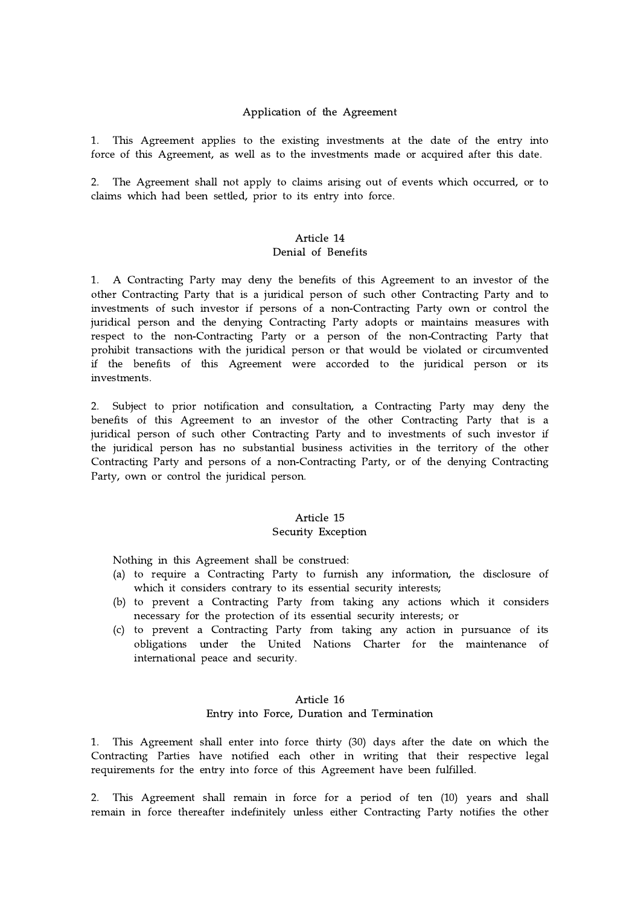#### Application of the Agreement

1. This Agreement applies to the existing investments at the date of the entry into force of this Agreement, as well as to the investments made or acquired after this date.

2. The Agreement shall not apply to claims arising out of events which occurred, or to claims which had been settled, prior to its entry into force.

#### Article 14 Denial of Benefits

1. A Contracting Party may deny the benefits of this Agreement to an investor of the other Contracting Party that is a juridical person of such other Contracting Party and to investments of such investor if persons of a non-Contracting Party own or control the juridical person and the denying Contracting Party adopts or maintains measures with respect to the non-Contracting Party or a person of the non-Contracting Party that prohibit transactions with the juridical person or that would be violated or circumvented if the benefits of this Agreement were accorded to the juridical person or its investments.

2. Subject to prior notification and consultation, a Contracting Party may deny the benefits of this Agreement to an investor of the other Contracting Party that is a juridical person of such other Contracting Party and to investments of such investor if the juridical person has no substantial business activities in the territory of the other Contracting Party and persons of a non-Contracting Party, or of the denying Contracting Party, own or control the juridical person.

## Article 15 Security Exception

Nothing in this Agreement shall be construed:

- (a) to require a Contracting Party to furnish any information, the disclosure of which it considers contrary to its essential security interests;
- (b) to prevent a Contracting Party from taking any actions which it considers necessary for the protection of its essential security interests; or
- (c) to prevent a Contracting Party from taking any action in pursuance of its obligations under the United Nations Charter for the maintenance of international peace and security.

#### Article 16 Entry into Force, Duration and Termination

1. This Agreement shall enter into force thirty (30) days after the date on which the Contracting Parties have notified each other in writing that their respective legal requirements for the entry into force of this Agreement have been fulfilled.

2. This Agreement shall remain in force for a period of ten (10) years and shall remain in force thereafter indefinitely unless either Contracting Party notifies the other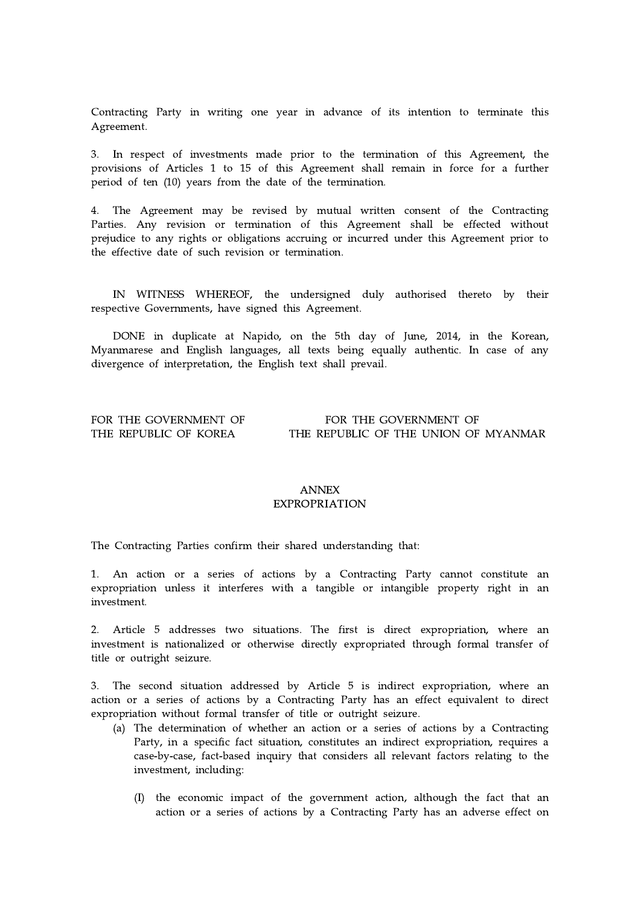Contracting Party in writing one year in advance of its intention to terminate this Agreement.

3. In respect of investments made prior to the termination of this Agreement, the provisions of Articles 1 to 15 of this Agreement shall remain in force for a further period of ten (10) years from the date of the termination.

4. The Agreement may be revised by mutual written consent of the Contracting Parties. Any revision or termination of this Agreement shall be effected without prejudice to any rights or obligations accruing or incurred under this Agreement prior to the effective date of such revision or termination.

IN WITNESS WHEREOF, the undersigned duly authorised thereto by their respective Governments, have signed this Agreement.

DONE in duplicate at Napido, on the 5th day of June, 2014, in the Korean, Myanmarese and English languages, all texts being equally authentic. In case of any divergence of interpretation, the English text shall prevail.

#### FOR THE GOVERNMENT OF FOR THE GOVERNMENT OF THE REPUBLIC OF KOREA THE REPUBLIC OF THE UNION OF MYANMAR

## ANNEX EXPROPRIATION

The Contracting Parties confirm their shared understanding that:

1. An action or a series of actions by a Contracting Party cannot constitute an expropriation unless it interferes with a tangible or intangible property right in an investment.

2. Article 5 addresses two situations. The first is direct expropriation, where an investment is nationalized or otherwise directly expropriated through formal transfer of title or outright seizure.

3. The second situation addressed by Article 5 is indirect expropriation, where an action or a series of actions by a Contracting Party has an effect equivalent to direct expropriation without formal transfer of title or outright seizure.

- (a) The determination of whether an action or a series of actions by a Contracting Party, in a specific fact situation, constitutes an indirect expropriation, requires a case-by-case, fact-based inquiry that considers all relevant factors relating to the investment, including:
	- (I) the economic impact of the government action, although the fact that an action or a series of actions by a Contracting Party has an adverse effect on